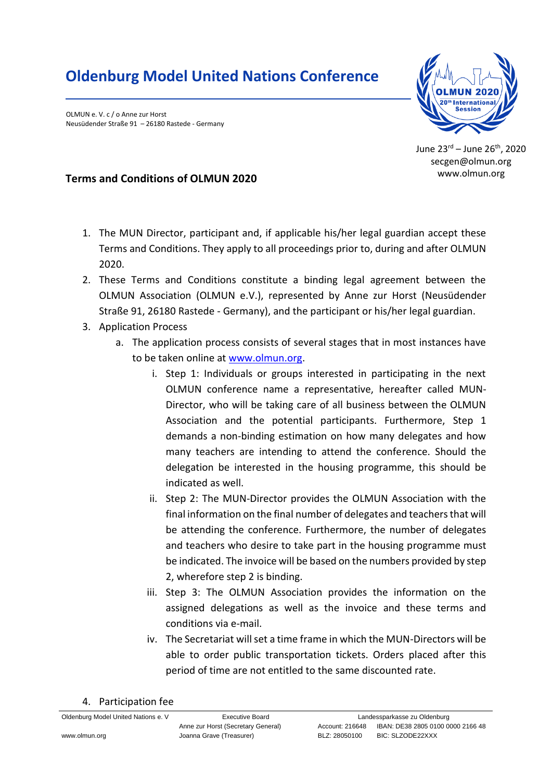## **Oldenburg Model United Nations Conference**

OLMUN e. V. c / o Anne zur Horst Neusüdender Straße 91 – 26180 Rastede - Germany



June 23rd – June 26 th , 2020 secgen@olmun.org www.olmun.org

## **Terms and Conditions of OLMUN 2020**

- 1. The MUN Director, participant and, if applicable his/her legal guardian accept these Terms and Conditions. They apply to all proceedings prior to, during and after OLMUN 2020.
- 2. These Terms and Conditions constitute a binding legal agreement between the OLMUN Association (OLMUN e.V.), represented by Anne zur Horst (Neusüdender Straße 91, 26180 Rastede - Germany), and the participant or his/her legal guardian.
- 3. Application Process
	- a. The application process consists of several stages that in most instances have to be taken online at [www.olmun.org.](http://www.olmun.org/)
		- i. Step 1: Individuals or groups interested in participating in the next OLMUN conference name a representative, hereafter called MUN-Director, who will be taking care of all business between the OLMUN Association and the potential participants. Furthermore, Step 1 demands a non-binding estimation on how many delegates and how many teachers are intending to attend the conference. Should the delegation be interested in the housing programme, this should be indicated as well.
		- ii. Step 2: The MUN-Director provides the OLMUN Association with the final information on the final number of delegates and teachers that will be attending the conference. Furthermore, the number of delegates and teachers who desire to take part in the housing programme must be indicated. The invoice will be based on the numbers provided by step 2, wherefore step 2 is binding.
		- iii. Step 3: The OLMUN Association provides the information on the assigned delegations as well as the invoice and these terms and conditions via e-mail.
		- iv. The Secretariat will set a time frame in which the MUN-Directors will be able to order public transportation tickets. Orders placed after this period of time are not entitled to the same discounted rate.
- 4. Participation fee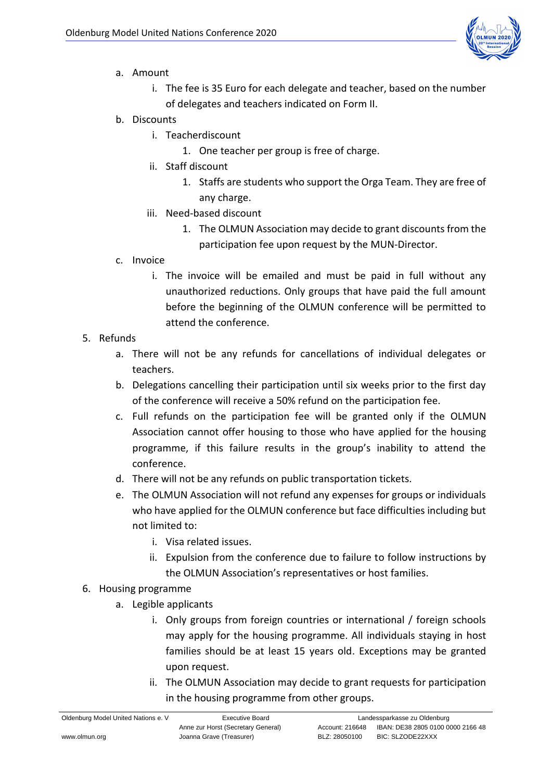

- a. Amount
	- i. The fee is 35 Euro for each delegate and teacher, based on the number of delegates and teachers indicated on Form II.
- b. Discounts
	- i. Teacherdiscount
		- 1. One teacher per group is free of charge.
	- ii. Staff discount
		- 1. Staffs are students who support the Orga Team. They are free of any charge.
	- iii. Need-based discount
		- 1. The OLMUN Association may decide to grant discounts from the participation fee upon request by the MUN-Director.
- c. Invoice
	- i. The invoice will be emailed and must be paid in full without any unauthorized reductions. Only groups that have paid the full amount before the beginning of the OLMUN conference will be permitted to attend the conference.
- 5. Refunds
	- a. There will not be any refunds for cancellations of individual delegates or teachers.
	- b. Delegations cancelling their participation until six weeks prior to the first day of the conference will receive a 50% refund on the participation fee.
	- c. Full refunds on the participation fee will be granted only if the OLMUN Association cannot offer housing to those who have applied for the housing programme, if this failure results in the group's inability to attend the conference.
	- d. There will not be any refunds on public transportation tickets.
	- e. The OLMUN Association will not refund any expenses for groups or individuals who have applied for the OLMUN conference but face difficulties including but not limited to:
		- i. Visa related issues.
		- ii. Expulsion from the conference due to failure to follow instructions by the OLMUN Association's representatives or host families.
- 6. Housing programme
	- a. Legible applicants
		- i. Only groups from foreign countries or international / foreign schools may apply for the housing programme. All individuals staying in host families should be at least 15 years old. Exceptions may be granted upon request.
		- ii. The OLMUN Association may decide to grant requests for participation in the housing programme from other groups.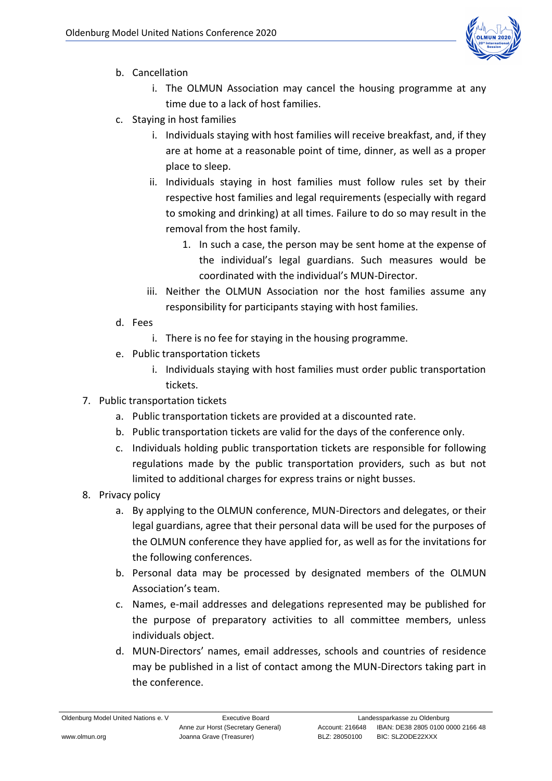

- b. Cancellation
	- i. The OLMUN Association may cancel the housing programme at any time due to a lack of host families.
- c. Staying in host families
	- i. Individuals staying with host families will receive breakfast, and, if they are at home at a reasonable point of time, dinner, as well as a proper place to sleep.
	- ii. Individuals staying in host families must follow rules set by their respective host families and legal requirements (especially with regard to smoking and drinking) at all times. Failure to do so may result in the removal from the host family.
		- 1. In such a case, the person may be sent home at the expense of the individual's legal guardians. Such measures would be coordinated with the individual's MUN-Director.
	- iii. Neither the OLMUN Association nor the host families assume any responsibility for participants staying with host families.
- d. Fees
	- i. There is no fee for staying in the housing programme.
- e. Public transportation tickets
	- i. Individuals staying with host families must order public transportation tickets.
- 7. Public transportation tickets
	- a. Public transportation tickets are provided at a discounted rate.
	- b. Public transportation tickets are valid for the days of the conference only.
	- c. Individuals holding public transportation tickets are responsible for following regulations made by the public transportation providers, such as but not limited to additional charges for express trains or night busses.
- 8. Privacy policy
	- a. By applying to the OLMUN conference, MUN-Directors and delegates, or their legal guardians, agree that their personal data will be used for the purposes of the OLMUN conference they have applied for, as well as for the invitations for the following conferences.
	- b. Personal data may be processed by designated members of the OLMUN Association's team.
	- c. Names, e-mail addresses and delegations represented may be published for the purpose of preparatory activities to all committee members, unless individuals object.
	- d. MUN-Directors' names, email addresses, schools and countries of residence may be published in a list of contact among the MUN-Directors taking part in the conference.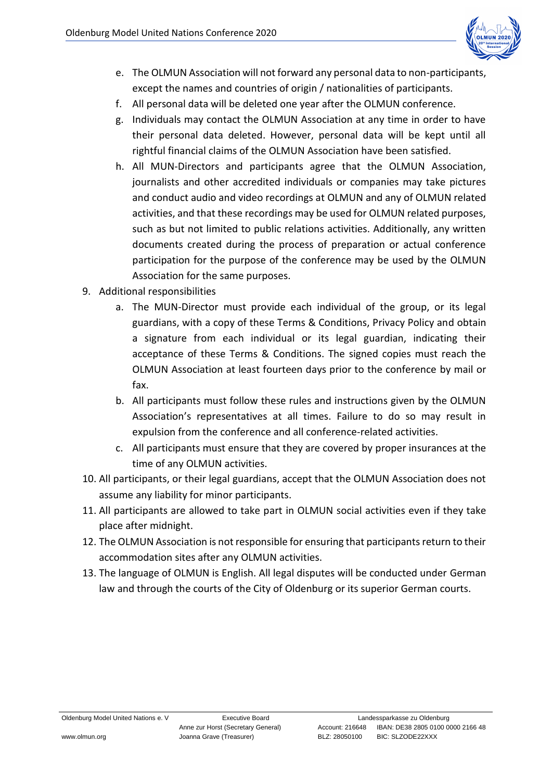

- e. The OLMUN Association will not forward any personal data to non-participants, except the names and countries of origin / nationalities of participants.
- f. All personal data will be deleted one year after the OLMUN conference.
- g. Individuals may contact the OLMUN Association at any time in order to have their personal data deleted. However, personal data will be kept until all rightful financial claims of the OLMUN Association have been satisfied.
- h. All MUN-Directors and participants agree that the OLMUN Association, journalists and other accredited individuals or companies may take pictures and conduct audio and video recordings at OLMUN and any of OLMUN related activities, and that these recordings may be used for OLMUN related purposes, such as but not limited to public relations activities. Additionally, any written documents created during the process of preparation or actual conference participation for the purpose of the conference may be used by the OLMUN Association for the same purposes.
- 9. Additional responsibilities
	- a. The MUN-Director must provide each individual of the group, or its legal guardians, with a copy of these Terms & Conditions, Privacy Policy and obtain a signature from each individual or its legal guardian, indicating their acceptance of these Terms & Conditions. The signed copies must reach the OLMUN Association at least fourteen days prior to the conference by mail or fax.
	- b. All participants must follow these rules and instructions given by the OLMUN Association's representatives at all times. Failure to do so may result in expulsion from the conference and all conference-related activities.
	- c. All participants must ensure that they are covered by proper insurances at the time of any OLMUN activities.
- 10. All participants, or their legal guardians, accept that the OLMUN Association does not assume any liability for minor participants.
- 11. All participants are allowed to take part in OLMUN social activities even if they take place after midnight.
- 12. The OLMUN Association is not responsible for ensuring that participants return to their accommodation sites after any OLMUN activities.
- 13. The language of OLMUN is English. All legal disputes will be conducted under German law and through the courts of the City of Oldenburg or its superior German courts.